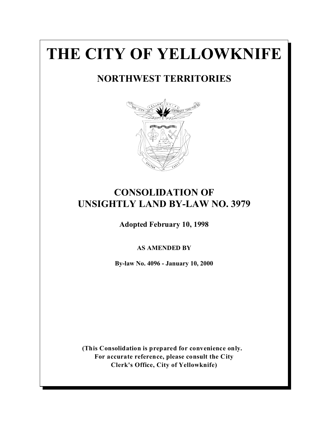# **THE CITY OF YELLOWKNIFE**

# **NORTHWEST TERRITORIES**



# **CONSOLIDATION OF UNSIGHTLY LAND BY-LAW NO. 3979**

**Adopted February 10, 1998**

**AS AMENDED BY**

**By-law No. 4096 - January 10, 2000**

**(This Consolidation is prepared for convenience only. For accurate reference, please consult the City Clerk's Office, City of Yellowknife)**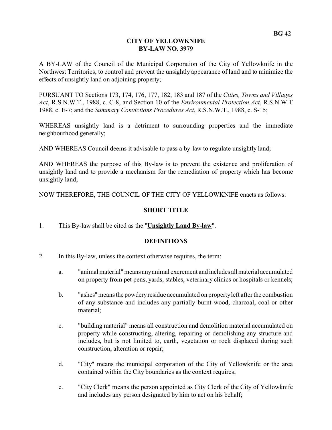#### **CITY OF YELLOWKNIFE BY-LAW NO. 3979**

A BY-LAW of the Council of the Municipal Corporation of the City of Yellowknife in the Northwest Territories, to control and prevent the unsightly appearance of land and to minimize the effects of unsightly land on adjoining property;

PURSUANT TO Sections 173, 174, 176, 177, 182, 183 and 187 of the *Cities, Towns and Villages Act*, R.S.N.W.T., 1988, c. C-8, and Section 10 of the *Environmental Protection Act*, R.S.N.W.T 1988, c. E-7; and the *Summary Convictions Procedures Act*, R.S.N.W.T., 1988, c. S-15;

WHEREAS unsightly land is a detriment to surrounding properties and the immediate neighbourhood generally;

AND WHEREAS Council deems it advisable to pass a by-law to regulate unsightly land;

AND WHEREAS the purpose of this By-law is to prevent the existence and proliferation of unsightly land and to provide a mechanism for the remediation of property which has become unsightly land;

NOW THEREFORE, THE COUNCIL OF THE CITY OF YELLOWKNIFE enacts as follows:

#### **SHORT TITLE**

1. This By-law shall be cited as the "**Unsightly Land By-law**".

#### **DEFINITIONS**

- 2. In this By-law, unless the context otherwise requires, the term:
	- a. "animal material" means any animal excrement and includes allmaterial accumulated on property from pet pens, yards, stables, veterinary clinics or hospitals or kennels;
	- b. "ashes" meansthe powderyresidue accumulated on property left after the combustion of any substance and includes any partially burnt wood, charcoal, coal or other material;
	- c. "building material" means all construction and demolition material accumulated on property while constructing, altering, repairing or demolishing any structure and includes, but is not limited to, earth, vegetation or rock displaced during such construction, alteration or repair;
	- d. "City" means the municipal corporation of the City of Yellowknife or the area contained within the City boundaries as the context requires;
	- e. "City Clerk" means the person appointed as City Clerk of the City of Yellowknife and includes any person designated by him to act on his behalf;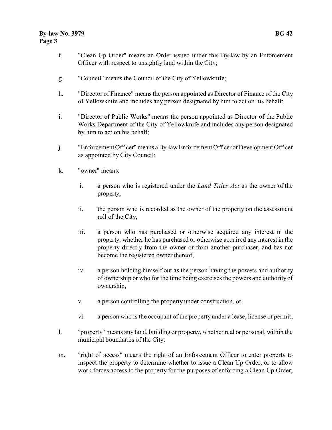- f. "Clean Up Order" means an Order issued under this By-law by an Enforcement Officer with respect to unsightly land within the City;
- g. "Council" means the Council of the City of Yellowknife;
- h. "Director of Finance" means the person appointed as Director of Finance of the City of Yellowknife and includes any person designated by him to act on his behalf;
- i. "Director of Public Works" means the person appointed as Director of the Public Works Department of the City of Yellowknife and includes any person designated by him to act on his behalf;
- j. "Enforcement Officer" means a By-law Enforcement Officer orDevelopment Officer as appointed by City Council;
- k. "owner" means:
	- i. a person who is registered under the *Land Titles Act* as the owner of the property,
	- ii. the person who is recorded as the owner of the property on the assessment roll of the City,
	- iii. a person who has purchased or otherwise acquired any interest in the property, whether he has purchased or otherwise acquired any interest in the property directly from the owner or from another purchaser, and has not become the registered owner thereof,
	- iv. a person holding himself out as the person having the powers and authority of ownership or who for the time being exercises the powers and authority of ownership,
	- v. a person controlling the property under construction, or
	- vi. a person who is the occupant of the property under a lease, license or permit;
- l. "property" means any land, building or property, whether real or personal, within the municipal boundaries of the City;
- m. "right of access" means the right of an Enforcement Officer to enter property to inspect the property to determine whether to issue a Clean Up Order, or to allow work forces access to the property for the purposes of enforcing a Clean Up Order;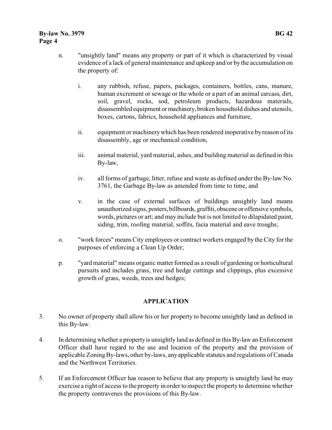- n. "unsightly land" means any property or part of it which is characterized by visual evidence of a lack of general maintenance and upkeep and/or by the accumulation on the property of:
	- i. any rubbish, refuse, papers, packages, containers, bottles, cans, manure, human excrement or sewage or the whole or a part of an animal carcass, dirt, soil, gravel, rocks, sod, petroleum products, hazardous materials, disassembled equipment ormachinery, broken household dishes and utensils, boxes, cartons, fabrics, household appliances and furniture,
	- ii. equipment or machinery which has been rendered inoperative by reason of its disassembly, age or mechanical condition,
	- iii. animal material, yard material, ashes, and building material as defined in this By-law,
	- iv. all forms of garbage, litter, refuse and waste as defined under the By-law No. 3761, the Garbage By-law as amended from time to time, and
	- v. in the case of external surfaces of buildings unsightly land means unauthorized signs, posters,billboards, graffiti, obscene or offensive symbols, words, pictures or art; and may include but is not limited to dilapidated paint, siding, trim, roofing material, soffits, facia material and eave troughs;
- o. "work forces" means City employees or contract workers engaged by the City for the purposes of enforcing a Clean Up Order;
- p. "yard material" means organic matter formed as a result of gardening or horticultural pursuits and includes grass, tree and hedge cuttings and clippings, plus excessive growth of grass, weeds, trees and hedges;

#### **APPLICATION**

- 3. No owner of property shall allow his or her property to become unsightly land as defined in this By-law.
- 4. In determining whether a property is unsightly land as defined in this By-law an Enforcement Officer shall have regard to the use and location of the property and the provision of applicable Zoning By-laws, other by-laws, any applicable statutes and regulations of Canada and the Northwest Territories.
- 5. If an Enforcement Officer has reason to believe that any property is unsightly land he may exercise a right of access to the property in order to inspect the property to determine whether the property contravenes the provisions of this By-law.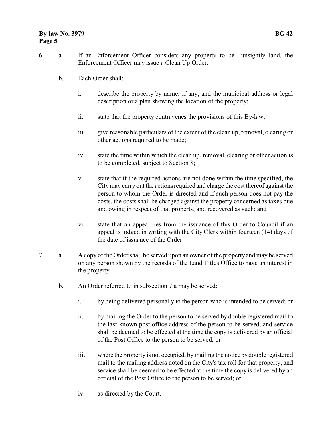#### **By-law No. 3979 BG 42 Page 5**

- 6. a. If an Enforcement Officer considers any property to be unsightly land, the Enforcement Officer may issue a Clean Up Order.
	- b. Each Order shall:
		- i. describe the property by name, if any, and the municipal address or legal description or a plan showing the location of the property;
		- ii. state that the property contravenes the provisions of this By-law;
		- iii. give reasonable particulars of the extent of the clean up, removal, clearing or other actions required to be made;
		- iv. state the time within which the clean up, removal, clearing or other action is to be completed, subject to Section 8;
		- v. state that if the required actions are not done within the time specified, the City may carry out the actions required and charge the cost thereof against the person to whom the Order is directed and if such person does not pay the costs, the costs shall be charged against the property concerned as taxes due and owing in respect of that property, and recovered as such; and
		- vi. state that an appeal lies from the issuance of this Order to Council if an appeal is lodged in writing with the City Clerk within fourteen (14) days of the date of issuance of the Order.
- 7. a. A copy of the Order shall be served upon an owner of the property and may be served on any person shown by the records of the Land Titles Office to have an interest in the property.
	- b. An Order referred to in subsection 7.a may be served:
		- i. by being delivered personally to the person who is intended to be served; or
		- ii. by mailing the Order to the person to be served by double registered mail to the last known post office address of the person to be served, and service shall be deemed to be effected at the time the copy is delivered by an official of the Post Office to the person to be served; or
		- iii. where the property is not occupied, by mailing the notice by double registered mail to the mailing address noted on the City's tax roll for that property, and service shall be deemed to be effected at the time the copy is delivered by an official of the Post Office to the person to be served; or
		- iv. as directed by the Court.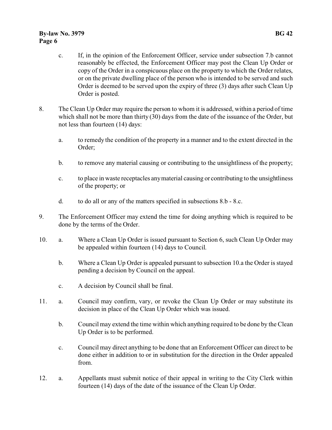#### **By-law No. 3979 BG 42 Page 6**

- c. If, in the opinion of the Enforcement Officer, service under subsection 7.b cannot reasonably be effected, the Enforcement Officer may post the Clean Up Order or copy of the Order in a conspicuous place on the property to which the Order relates, or on the private dwelling place of the person who is intended to be served and such Order is deemed to be served upon the expiry of three (3) days after such Clean Up Order is posted.
- 8. The Clean Up Order may require the person to whom it is addressed, within a period of time which shall not be more than thirty (30) days from the date of the issuance of the Order, but not less than fourteen (14) days:
	- a. to remedy the condition of the property in a manner and to the extent directed in the Order;
	- b. to remove any material causing or contributing to the unsightliness of the property;
	- c. to place in waste receptacles any material causing or contributing to the unsightliness of the property; or
	- d. to do all or any of the matters specified in subsections 8.b 8.c.
- 9. The Enforcement Officer may extend the time for doing anything which is required to be done by the terms of the Order.
- 10. a. Where a Clean Up Order is issued pursuant to Section 6, such Clean Up Order may be appealed within fourteen (14) days to Council.
	- b. Where a Clean Up Order is appealed pursuant to subsection 10.a the Order is stayed pending a decision by Council on the appeal.
	- c. A decision by Council shall be final.
- 11. a. Council may confirm, vary, or revoke the Clean Up Order or may substitute its decision in place of the Clean Up Order which was issued.
	- b. Council may extend the time within which anything required to be done by the Clean Up Order is to be performed.
	- c. Council may direct anything to be done that an Enforcement Officer can direct to be done either in addition to or in substitution for the direction in the Order appealed from.
- 12. a. Appellants must submit notice of their appeal in writing to the City Clerk within fourteen (14) days of the date of the issuance of the Clean Up Order.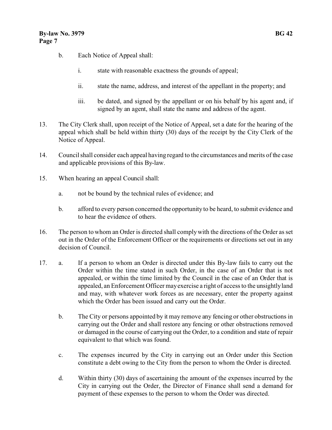- b. Each Notice of Appeal shall:
	- i. state with reasonable exactness the grounds of appeal;
	- ii. state the name, address, and interest of the appellant in the property; and
	- iii. be dated, and signed by the appellant or on his behalf by his agent and, if signed by an agent, shall state the name and address of the agent.
- 13. The City Clerk shall, upon receipt of the Notice of Appeal, set a date for the hearing of the appeal which shall be held within thirty (30) days of the receipt by the City Clerk of the Notice of Appeal.
- 14. Council shall consider each appeal having regard to the circumstances and merits of the case and applicable provisions of this By-law.
- 15. When hearing an appeal Council shall:
	- a. not be bound by the technical rules of evidence; and
	- b. afford to every person concerned the opportunity to be heard, to submit evidence and to hear the evidence of others.
- 16. The person to whom an Order is directed shall comply with the directions of the Order as set out in the Order of the Enforcement Officer or the requirements or directions set out in any decision of Council.
- 17. a. If a person to whom an Order is directed under this By-law fails to carry out the Order within the time stated in such Order, in the case of an Order that is not appealed, or within the time limited by the Council in the case of an Order that is appealed, an Enforcement Officer may exercise a right of access to the unsightly land and may, with whatever work forces as are necessary, enter the property against which the Order has been issued and carry out the Order.
	- b. The City or persons appointed by it may remove any fencing or other obstructions in carrying out the Order and shall restore any fencing or other obstructions removed or damaged in the course of carrying out the Order, to a condition and state of repair equivalent to that which was found.
	- c. The expenses incurred by the City in carrying out an Order under this Section constitute a debt owing to the City from the person to whom the Order is directed.
	- d. Within thirty (30) days of ascertaining the amount of the expenses incurred by the City in carrying out the Order, the Director of Finance shall send a demand for payment of these expenses to the person to whom the Order was directed.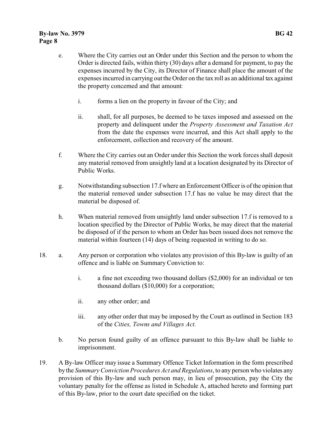- e. Where the City carries out an Order under this Section and the person to whom the Order is directed fails, within thirty (30) days after a demand for payment, to pay the expenses incurred by the City, its Director of Finance shall place the amount of the expenses incurred in carrying out the Order on the tax roll as an additional tax against the property concerned and that amount:
	- i. forms a lien on the property in favour of the City; and
	- ii. shall, for all purposes, be deemed to be taxes imposed and assessed on the property and delinquent under the *Property Assessment and Taxation Act* from the date the expenses were incurred, and this Act shall apply to the enforcement, collection and recovery of the amount.
- f. Where the City carries out an Order under this Section the work forces shall deposit any material removed from unsightly land at a location designated by its Director of Public Works.
- g. Notwithstanding subsection 17.f where an Enforcement Officer is of the opinion that the material removed under subsection 17.f has no value he may direct that the material be disposed of.
- h. When material removed from unsightly land under subsection 17.f is removed to a location specified by the Director of Public Works, he may direct that the material be disposed of if the person to whom an Order has been issued does not remove the material within fourteen (14) days of being requested in writing to do so.
- 18. a. Any person or corporation who violates any provision of this By-law is guilty of an offence and is liable on Summary Conviction to:
	- i. a fine not exceeding two thousand dollars (\$2,000) for an individual or ten thousand dollars (\$10,000) for a corporation;
	- ii. any other order; and
	- iii. any other order that may be imposed by the Court as outlined in Section 183 of the *Cities, Towns and Villages Act.*
	- b. No person found guilty of an offence pursuant to this By-law shall be liable to imprisonment.
- 19. A By-law Officer may issue a Summary Offence Ticket Information in the form prescribed by the *Summary Conviction Procedures Act and Regulations*, to any person who violates any provision of this By-law and such person may, in lieu of prosecution, pay the City the voluntary penalty for the offense as listed in Schedule A, attached hereto and forming part of this By-law, prior to the court date specified on the ticket.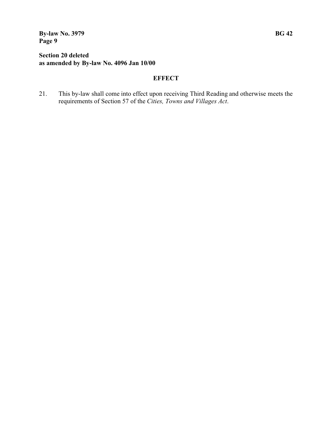**By-law No. 3979 BG 42 Page 9**

## **Section 20 deleted as amended by By-law No. 4096 Jan 10/00**

# **EFFECT**

21. This by-law shall come into effect upon receiving Third Reading and otherwise meets the requirements of Section 57 of the *Cities, Towns and Villages Act*.